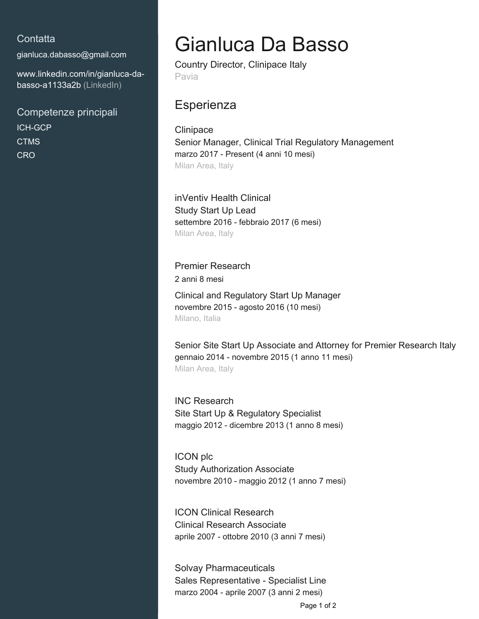## **Contatta**

[gianluca.dabasso@gmail.com](mailto:gianluca.dabasso@gmail.com)

[www.linkedin.com/in/gianluca-da](https://www.linkedin.com/in/gianluca-da-basso-a1133a2b?jobid=1234&lipi=urn%3Ali%3Apage%3Ad_jobs_easyapply_pdfgenresume%3BrlErAEPaTWma5a7JtAZsLg%3D%3D&licu=urn%3Ali%3Acontrol%3Ad_jobs_easyapply_pdfgenresume-v02_profile)[basso-a1133a2b \(LinkedIn\)](https://www.linkedin.com/in/gianluca-da-basso-a1133a2b?jobid=1234&lipi=urn%3Ali%3Apage%3Ad_jobs_easyapply_pdfgenresume%3BrlErAEPaTWma5a7JtAZsLg%3D%3D&licu=urn%3Ali%3Acontrol%3Ad_jobs_easyapply_pdfgenresume-v02_profile)

Competenze principali ICH-GCP **CTMS CRO** 

## Gianluca Da Basso

Country Director, Clinipace Italy Pavia

## **Esperienza**

**Clinipace** Senior Manager, Clinical Trial Regulatory Management marzo 2017 - Present (4 anni 10 mesi) Milan Area, Italy

inVentiv Health Clinical Study Start Up Lead settembre 2016 - febbraio 2017 (6 mesi) Milan Area, Italy

Premier Research 2 anni 8 mesi Clinical and Regulatory Start Up Manager novembre 2015 - agosto 2016 (10 mesi) Milano, Italia

Senior Site Start Up Associate and Attorney for Premier Research Italy gennaio 2014 - novembre 2015 (1 anno 11 mesi) Milan Area, Italy

INC Research Site Start Up & Regulatory Specialist maggio 2012 - dicembre 2013 (1 anno 8 mesi)

ICON plc Study Authorization Associate novembre 2010 - maggio 2012 (1 anno 7 mesi)

ICON Clinical Research Clinical Research Associate aprile 2007 - ottobre 2010 (3 anni 7 mesi)

Solvay Pharmaceuticals Sales Representative - Specialist Line marzo 2004 - aprile 2007 (3 anni 2 mesi)